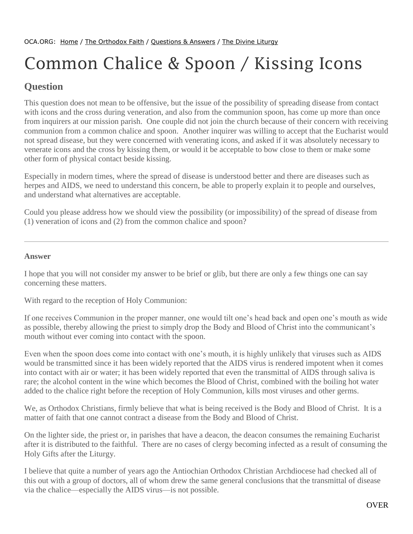## Common Chalice & Spoon / Kissing Icons

## **Question**

This question does not mean to be offensive, but the issue of the possibility of spreading disease from contact with icons and the cross during veneration, and also from the communion spoon, has come up more than once from inquirers at our mission parish. One couple did not join the church because of their concern with receiving communion from a common chalice and spoon. Another inquirer was willing to accept that the Eucharist would not spread disease, but they were concerned with venerating icons, and asked if it was absolutely necessary to venerate icons and the cross by kissing them, or would it be acceptable to bow close to them or make some other form of physical contact beside kissing.

Especially in modern times, where the spread of disease is understood better and there are diseases such as herpes and AIDS, we need to understand this concern, be able to properly explain it to people and ourselves, and understand what alternatives are acceptable.

Could you please address how we should view the possibility (or impossibility) of the spread of disease from (1) veneration of icons and (2) from the common chalice and spoon?

## **Answer**

I hope that you will not consider my answer to be brief or glib, but there are only a few things one can say concerning these matters.

With regard to the reception of Holy Communion:

If one receives Communion in the proper manner, one would tilt one's head back and open one's mouth as wide as possible, thereby allowing the priest to simply drop the Body and Blood of Christ into the communicant's mouth without ever coming into contact with the spoon.

Even when the spoon does come into contact with one's mouth, it is highly unlikely that viruses such as AIDS would be transmitted since it has been widely reported that the AIDS virus is rendered impotent when it comes into contact with air or water; it has been widely reported that even the transmittal of AIDS through saliva is rare; the alcohol content in the wine which becomes the Blood of Christ, combined with the boiling hot water added to the chalice right before the reception of Holy Communion, kills most viruses and other germs.

We, as Orthodox Christians, firmly believe that what is being received is the Body and Blood of Christ. It is a matter of faith that one cannot contract a disease from the Body and Blood of Christ.

On the lighter side, the priest or, in parishes that have a deacon, the deacon consumes the remaining Eucharist after it is distributed to the faithful. There are no cases of clergy becoming infected as a result of consuming the Holy Gifts after the Liturgy.

I believe that quite a number of years ago the Antiochian Orthodox Christian Archdiocese had checked all of this out with a group of doctors, all of whom drew the same general conclusions that the transmittal of disease via the chalice—especially the AIDS virus—is not possible.